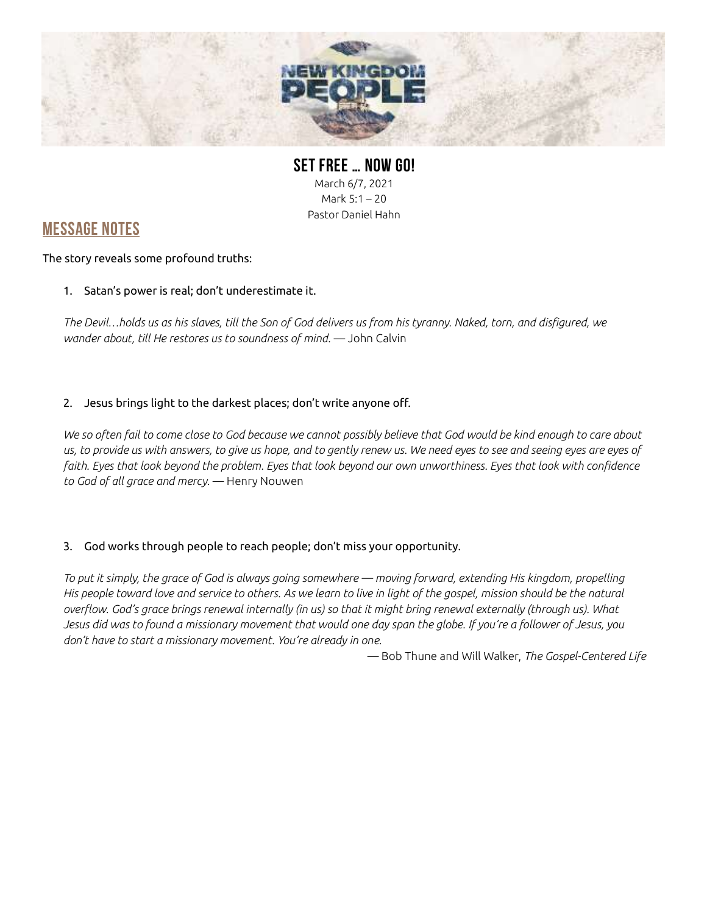

SET FREE … NOW GO! March 6/7, 2021 Mark 5:1 – 20 Pastor Daniel Hahn

## MESSAGE NOTES

#### The story reveals some profound truths:

1. Satan's power is real; don't underestimate it.

The Devil…holds us as his slaves, till the Son of God delivers us from his tyranny. Naked, torn, and disfigured, we wander about, till He restores us to soundness of mind. - John Calvin

### 2. Jesus brings light to the darkest places; don't write anyone off.

We so often fail to come close to God because we cannot possibly believe that God would be kind enough to care about us, to provide us with answers, to give us hope, and to gently renew us. We need eyes to see and seeing eyes are eyes of faith. Eyes that look beyond the problem. Eyes that look beyond our own unworthiness. Eyes that look with confidence to God of all grace and mercy. — Henry Nouwen

### 3. God works through people to reach people; don't miss your opportunity.

To put it simply, the grace of God is always going somewhere — moving forward, extending His kingdom, propelling His people toward love and service to others. As we learn to live in light of the gospel, mission should be the natural overflow. God's grace brings renewal internally (in us) so that it might bring renewal externally (through us). What Jesus did was to found a missionary movement that would one day span the globe. If you're a follower of Jesus, you don't have to start a missionary movement. You're already in one.

— Bob Thune and Will Walker, The Gospel-Centered Life